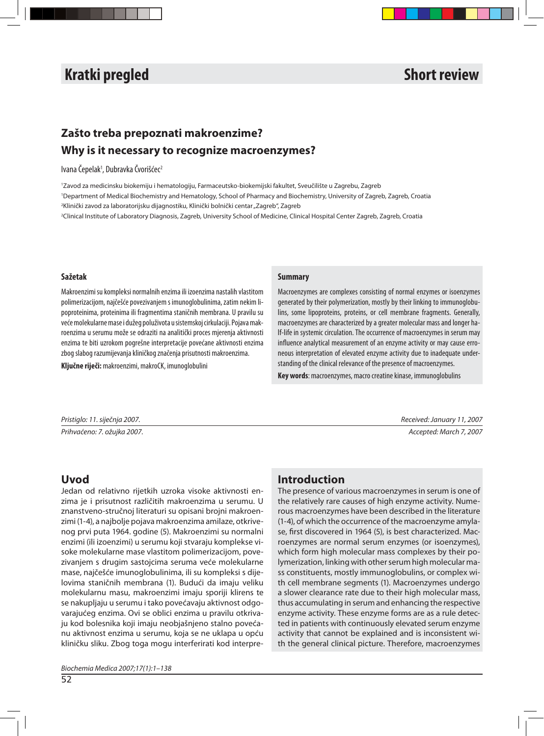# **Izvorni znanstveni članak Original scientifi c article i scientifi c article scientifi c article scientifi c article scientifi c article scientifi c article scientifi c article scientifi c article scientific c article sci**

# **Zašto treba prepoznati makroenzime? Why is it necessary to recognize macroenzymes?**

#### Ivana Čepelak<sup>1</sup>, Dubravka Čvorišćec<sup>2</sup>

'Zavod za medicinsku biokemiju i hematologiju, Farmaceutsko-biokemijski fakultet, Sveučilište u Zagrebu, Zagreb 'Department of Medical Biochemistry and Hematology, School of Pharmacy and Biochemistry, University of Zagreb, Zagreb, Croatia <sup>2</sup>Klinički zavod za laboratorijsku dijagnostiku, Klinički bolnički centar "Zagreb", Zagreb <sup>2</sup>Clinical Institute of Laboratory Diagnosis, Zagreb, University School of Medicine, Clinical Hospital Center Zagreb, Zagreb, Croatia

#### **Sa že tak**

Makroenzimi su kompleksi normalnih enzima ili izoenzima nastalih vlastitom polimerizacijom, najčešće povezivanjem s imunoglobulinima, zatim nekim lipoproteinima, proteinima ili fragmentima staničnih membrana. U pravilu su veće molekularne mase i dužeg poluživota u sistemskoj cirkulaciji. Pojava makroenzima u serumu može se odraziti na analitički proces mjerenja aktivnosti enzima te biti uzrokom pogrešne interpretacije povećane aktivnosti enzima zbog slabog razumijevanja kliničkog značenja prisutnosti makroenzima.

**Ključne riječi:** makroenzimi, makroCK, imunoglobulini

#### **Summary**

Macroenzymes are complexes consisting of normal enzymes or isoenzymes generated by their polymerization, mostly by their linking to immunoglobulins, some lipoproteins, proteins, or cell membrane fragments. Generally, macroenzymes are characterized by a greater molecular mass and longer half-life in systemic circulation. The occurrence of macroenzymes in serum may influence analytical measurement of an enzyme activity or may cause erroneous interpretation of elevated enzyme activity due to inadequate understanding of the clinical relevance of the presence of macroenzymes.

**Key words:** macroenzymes, macro creatine kinase, immunoglobulins

Pris tig lo: 11. siječnja 2007. Received: January 11, 2007

Prih va će no: 7. ožujka 2007. Ac cep ted: March 7, 2007

# **Uvod**

Jedan od relativno rijetkih uzroka visoke aktivnosti enzima je i prisutnost različitih makroenzima u serumu. U znan stveno-stručnoj literaturi su opisani brojni makroenzimi (1-4), a najbolje pojava makroenzima amilaze, otkrivenog prvi puta 1964. godine (5). Makroenzimi su normalni enzimi (ili izoenzimi) u serumu koji stvaraju komplekse visoke molekularne mase vlastitom polimerizacijom, povezivanjem s drugim sastojcima seruma veće molekularne mase, najčešće imunoglobulinima, ili su kompleksi s dijelovima staničnih membrana (1). Budući da imaju veliku molekularnu masu, makroenzimi imaju sporiji klirens te se nakupljaju u serumu i tako povećavaju aktivnost odgovarajućeg enzima. Ovi se oblici enzima u pravilu otkrivaju kod bolesnika koji imaju neobjašnjeno stalno povećanu aktivnost enzima u serumu, koja se ne uklapa u opću kliničku sliku. Zbog toga mogu interferirati kod interpre-

# **In tro duc tion**

The presence of various macroenzymes in serum is one of the relatively rare causes of high enzyme activity. Numerous macroenzymes have been described in the literature (1-4), of which the occurrence of the macroenzyme amylase, first discovered in 1964 (5), is best characterized. Macroenzymes are normal serum enzymes (or isoenzymes), which form high molecular mass complexes by their polymerization, linking with other serum high molecular mass constituents, mostly immunoglobulins, or complex with cell membrane segments (1). Macroenzymes undergo a slower clearance rate due to their high molecular mass, thus accumulating in serum and enhancing the respective enzyme activity. These enzyme forms are as a rule detected in patients with continuously elevated serum enzyme activity that cannot be explained and is inconsistent with the general clinical picture. Therefore, macroenzymes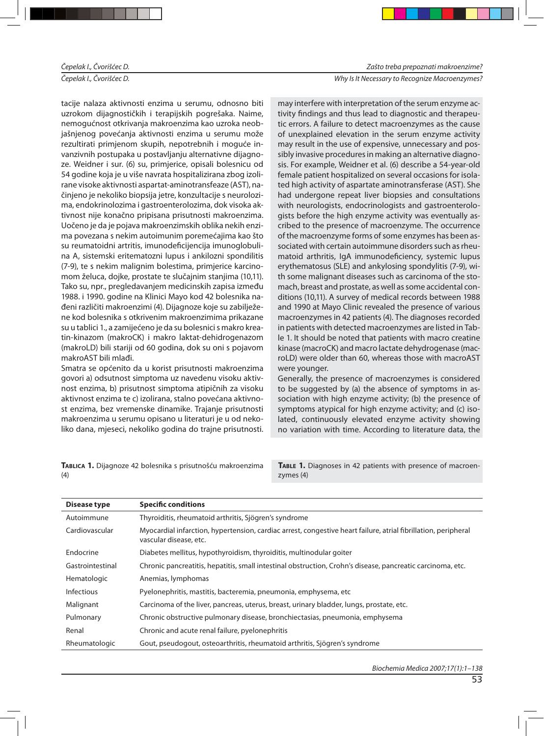#### Čepelak I., Čvorišćec D. New South Communication of the Communication of the Why Is It Necessary to Recognize Macroenzymes?

tacije nalaza aktivnosti enzima u serumu, odnosno biti uzrokom dijagnostičkih i terapijskih pogrešaka. Naime, ne mo guć nost otkrivanja mak roenzi ma kao uzroka neobjašnjenog povećanja aktivnosti enzima u serumu može rezultirati primjenom skupih, nepotrebnih i moguće invanzivnih postupaka u postavljanju alternativne dijagnoze. Weidner i sur. (6) su, primjerice, opisali bolesnicu od 54 godine koja je u više navrata hospitalizirana zbog izolirane visoke aktivnosti aspartat-aminotransfeaze (AST), načinjeno je nekoliko biopsija jetre, konzultacije s neurolozima, endokrinolozima i gastroenterolozima, dok visoka aktivnost nije konačno pripisana prisutnosti makroenzima. Uočeno je da je pojava makroenzimskih oblika nekih enzima povezana s nekim autoimunim poremećajima kao što su reumatoidni artritis, imunodeficijencija imunoglobulina A, sistemski eritematozni lupus i ankilozni spondilitis (7-9), te s nekim malignim bolestima, primjerice karcinomom želuca, dojke, prostate te slučajnim stanjima (10,11). Tako su, npr., pregledavanjem medicinskih zapisa između 1988. i 1990. godine na Klinici Mayo kod 42 bolesnika nađeni različiti makroenzimi (4). Dijagnoze koje su zabilježene kod bolesnika s otkrivenim makroenzimima prikazane su u tablici 1., a zamijećeno je da su bolesnici s makro kreatin-kinazom (makroCK) i makro laktat-dehidrogenazom (makroLD) bili stariji od 60 godina, dok su oni s pojavom makroAST bili mlađi.

Smatra se općenito da u korist prisutnosti makroenzima govori a) odsutnost simptoma uz navedenu visoku aktivnost enzima, b) prisutnost simptoma atipičnih za visoku aktivnost enzima te c) izolirana, stalno povećana aktivnost enzima, bez vremenske dinamike. Trajanje prisutnosti makroenzima u serumu opisano u literaturi je u od nekoliko dana, mjeseci, nekoliko godina do trajne prisutnosti.

TABLICA 1. Dijagnoze 42 bolesnika s prisutnošću makroenzima (4)

may interfere with interpretation of the serum enzyme activity findings and thus lead to diagnostic and therapeutic errors. A failure to detect macroenzymes as the cause of unexplained elevation in the serum enzyme activity may result in the use of expensive, unnecessary and possibly invasive procedures in making an alternative diagnosis. For example, Weidner et al. (6) describe a 54-year-old female patient hospitalized on several occasions for isolated high activity of aspartate aminotransferase (AST). She had undergone repeat liver biopsies and consultations with neurologists, endocrinologists and gastroenterologists before the high enzyme activity was eventually ascribed to the presence of macroenzyme. The occurrence of the macroenzyme forms of some enzymes has been associated with certain autoimmune disorders such as rheumatoid arthritis, IgA immunodeficiency, systemic lupus erythematosus (SLE) and ankylosing spondylitis (7-9), with some malignant diseases such as carcinoma of the stomach, breast and prostate, as well as some accidental conditions (10,11). A survey of medical records between 1988 and 1990 at Mayo Clinic revealed the presence of various macroenzymes in 42 patients (4). The diagnoses recorded in patients with detected macroenzymes are listed in Table 1. It should be noted that patients with macro creatine kinase (macroCK) and macro lactate dehydrogenase (macroLD) were older than 60, whereas those with macroAST were younger.

Generally, the presence of macroenzymes is considered to be suggested by (a) the absence of symptoms in association with high enzyme activity; (b) the presence of symptoms atypical for high enzyme activity; and (c) isolated, continuously elevated enzyme activity showing no variation with time. According to literature data, the

TABLE 1. Diagnoses in 42 patients with presence of macroenzymes (4)

| Disease type     | <b>Specific conditions</b>                                                                                                               |
|------------------|------------------------------------------------------------------------------------------------------------------------------------------|
| Autoimmune       | Thyroiditis, rheumatoid arthritis, Sjögren's syndrome                                                                                    |
| Cardiovascular   | Myocardial infarction, hypertension, cardiac arrest, congestive heart failure, atrial fibrillation, peripheral<br>vascular disease, etc. |
| Endocrine        | Diabetes mellitus, hypothyroidism, thyroiditis, multinodular goiter                                                                      |
| Gastrointestinal | Chronic pancreatitis, hepatitis, small intestinal obstruction, Crohn's disease, pancreatic carcinoma, etc.                               |
| Hematologic      | Anemias, lymphomas                                                                                                                       |
| Infectious       | Pyelonephritis, mastitis, bacteremia, pneumonia, emphysema, etc.                                                                         |
| Malignant        | Carcinoma of the liver, pancreas, uterus, breast, urinary bladder, lungs, prostate, etc.                                                 |
| Pulmonary        | Chronic obstructive pulmonary disease, bronchiectasias, pneumonia, emphysema                                                             |
| Renal            | Chronic and acute renal failure, pyelonephritis                                                                                          |
| Rheumatologic    | Gout, pseudogout, osteoarthritis, rheumatoid arthritis, Sjögren's syndrome                                                               |

Biochemia Medica 2007;17(1):1–138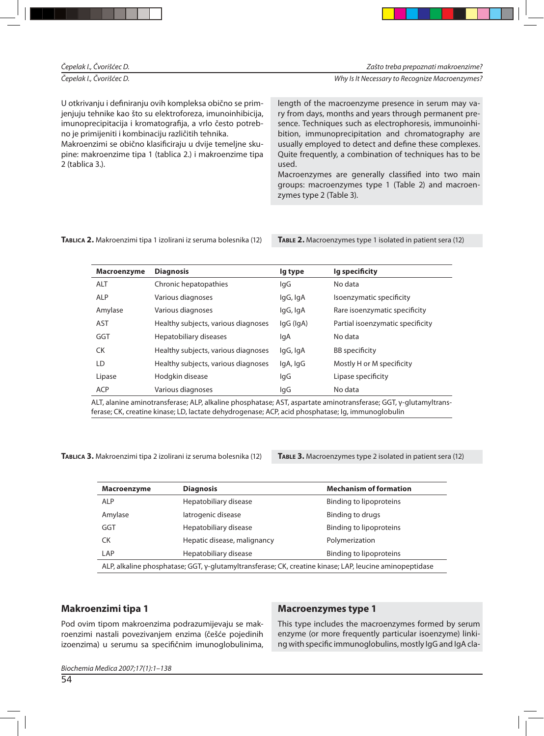| Čepelak I., Čvorišćec D.                                                                                                                                                                                                                                                                                                                                                                | Zašto treba prepoznati makroenzime?                                                                                                                                                                                                                                                                                                                                                                                                                                     |
|-----------------------------------------------------------------------------------------------------------------------------------------------------------------------------------------------------------------------------------------------------------------------------------------------------------------------------------------------------------------------------------------|-------------------------------------------------------------------------------------------------------------------------------------------------------------------------------------------------------------------------------------------------------------------------------------------------------------------------------------------------------------------------------------------------------------------------------------------------------------------------|
| Čepelak I., Čvorišćec D.                                                                                                                                                                                                                                                                                                                                                                | Why Is It Necessary to Recognize Macroenzymes?                                                                                                                                                                                                                                                                                                                                                                                                                          |
| U otkrivanju i definiranju ovih kompleksa obično se prim-<br>jenjuju tehnike kao što su elektroforeza, imunoinhibicija,<br>imunoprecipitacija i kromatografija, a vrlo često potreb-<br>no je primijeniti i kombinaciju različitih tehnika.<br>Makroenzimi se obično klasificiraju u dvije temeljne sku-<br>pine: makroenzime tipa 1 (tablica 2.) i makroenzime tipa<br>2 (tablica 3.). | length of the macroenzyme presence in serum may va-<br>ry from days, months and years through permanent pre-<br>sence. Techniques such as electrophoresis, immunoinhi-<br>bition, immunoprecipitation and chromatography are<br>usually employed to detect and define these complexes.<br>Quite frequently, a combination of techniques has to be<br>used.<br>Macroenzymes are generally classified into two main<br>groups: macroenzymes type 1 (Table 2) and macroen- |

zymes type 2 (Table 3).

#### TABLICA 2. Makroenzimi tipa 1 izolirani iz seruma bolesnika (12) TABLE 2. Macroenzymes type 1 isolated in patient sera (12)

| Macroenzyme | <b>Diagnosis</b>                    | lg type   | Ig specificity                   |
|-------------|-------------------------------------|-----------|----------------------------------|
| <b>ALT</b>  | Chronic hepatopathies               | lgG       | No data                          |
| <b>ALP</b>  | Various diagnoses                   | lgG, IgA  | Isoenzymatic specificity         |
| Amylase     | Various diagnoses                   | lgG, IgA  | Rare isoenzymatic specificity    |
| <b>AST</b>  | Healthy subjects, various diagnoses | IgG (IgA) | Partial isoenzymatic specificity |
| GGT         | Hepatobiliary diseases              | lgA       | No data                          |
| <b>CK</b>   | Healthy subjects, various diagnoses | lgG, IgA  | <b>BB</b> specificity            |
| LD          | Healthy subjects, various diagnoses | lgA, IgG  | Mostly H or M specificity        |
| Lipase      | Hodgkin disease                     | lgG       | Lipase specificity               |
| <b>ACP</b>  | Various diagnoses                   | lgG       | No data                          |

ALT, alanine aminotransferase; ALP, alkaline phosphatase; AST, aspartate aminotransferase; GGT, γ-glutamyltransferase; CK, creatine kinase; LD, lactate dehydrogenase; ACP, acid phosphatase; Ig, immunoglobulin

TABLICA 3. Makroenzimi tipa 2 izolirani iz seruma bolesnika (12) TABLE 3. Macroenzymes type 2 isolated in patient sera (12)

| Macroenzyme                                                                                             | <b>Diagnosis</b>            | <b>Mechanism of formation</b> |  |  |
|---------------------------------------------------------------------------------------------------------|-----------------------------|-------------------------------|--|--|
| <b>ALP</b>                                                                                              | Hepatobiliary disease       | Binding to lipoproteins       |  |  |
| Amylase                                                                                                 | latrogenic disease          | Binding to drugs              |  |  |
| GGT                                                                                                     | Hepatobiliary disease       | Binding to lipoproteins       |  |  |
| CK.                                                                                                     | Hepatic disease, malignancy | Polymerization                |  |  |
| LAP                                                                                                     | Hepatobiliary disease       | Binding to lipoproteins       |  |  |
| ALP, alkaline phosphatase; GGT, γ-glutamyltransferase; CK, creatine kinase; LAP, leucine aminopeptidase |                             |                               |  |  |

## **Makroenzimi tipa 1**

Pod ovim tipom makroenzima podrazumijevaju se makroenzimi nastali povezivanjem enzima (češće pojedinih izoenzima) u serumu sa specifičnim imunoglobulinima,

## **Macroenzymes type 1**

This type includes the macroenzymes formed by serum enzyme (or more frequently particular isoenzyme) linking with specific immunoglobulins, mostly IgG and IgA cla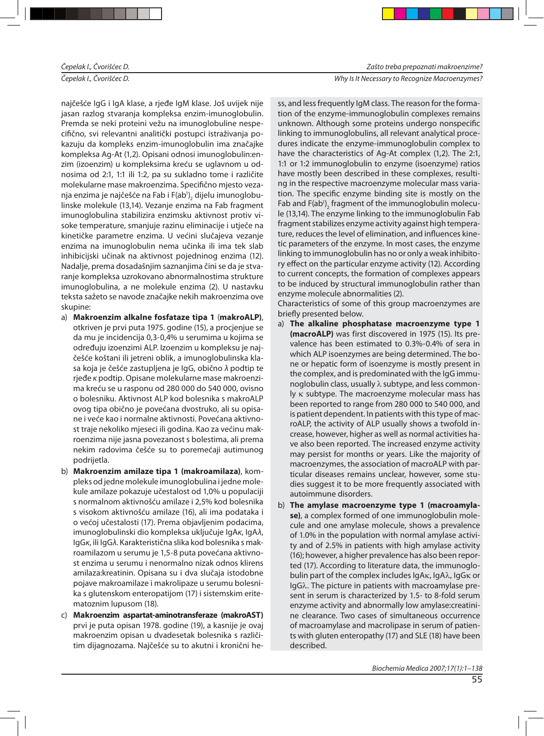Čepelak I., Čvorišćec D. Nestandard i Secondary of Demokratic Demokratic Mac roen zymes?

najčešće IgG i IgA klase, a rjeđe IgM klase. Još uvijek nije jasan razlog stvaranja kompleksa enzim-imunoglobulin. Premda se neki proteini vežu na imunoglobuline nespecifično, svi relevantni analitički postupci istraživanja pokazuju da kompleks enzim-imunoglobulin ima značajke kompleksa Ag-At (1,2). Opisani odnosi imunoglobulin:enzim (izoenzim) u kompleksima kreću se uglavnom u odnosima od 2:1, 1:1 ili 1:2, pa su sukladno tome i različite molekularne mase makroenzima. Specifično mjesto vezanja enzima je najčešće na Fab i F(ab $^{\rm l})_2$  dijelu imunoglobulinske molekule (13,14). Vezanje enzima na Fab fragment imu noglobulina sta bilizira en zimsku aktivnost protiv visoke temperature, smanjuje razinu eliminacije i utječe na kinetičke parametre enzima. U većini slučajeva vezanje enzima na imunoglobulin nema učinka ili ima tek slab inhibicijski učinak na aktivnost pojedninog enzima (12). Na dalje, prema do sa dašnjim saznanjima čini se da je stvaranje kompleksa uzrokovano abnormalnostima strukture imu noglobulina, a ne molekule enzima (2). U nastavku teksta sažeto se navode značajke nekih makroenzima ove skupine:

- a) **Makroenzim alkalne fosfataze tipa 1** (makroALP), otkriven je prvi puta 1975. godine (15), a procjenjue se da mu je incidencija 0,3-0,4% u serumima u kojima se određuju izoenzimi ALP. Izoenzim u kompleksu je najčešće koštani ili jetreni oblik, a imunoglobulinska klasa koja je češće zastupljena je IgG, obično  $\lambda$  podtip te rjeđe κ podtip. Opisane molekularne mase makroenzima kreću se u rasponu od 280 000 do 540 000, ovisno o bolesniku. Aktivnost ALP kod bolesnika s makroALP ovog tipa obično je povećana dvostruko, ali su opisane i veće kao i normalne aktivnosti. Povećana aktivnost traje nekoliko mjeseci ili godina. Kao za većinu makroenzima nije jasna povezanost s bolestima, ali prema nekim radovima češće su to poremećaji autimunog podrijetla.
- b) **Makroenzim amilaze tipa 1 (makroamilaza)**, kompleks od jedne molekule imunoglobulina i jedne molekule amilaze pokazuje učestalost od 1,0% u populaciji s normalnom aktivnošću amilaze i 2,5% kod bolesnika s visokom aktivnošću amilaze (16), ali ima podataka i o većoj učestalosti (17). Prema objavljenim podacima, imu noglo bulinski dio kompleksa uključuje IgAκ, IgAλ, IgGκ, ili IgGλ. Karak teristična slika kod bolesnika s makroamilazom u serumu je 1,5-8 puta povećana aktivnost enzima u serumu i nenormalno nizak odnos klirens amilaza: kreatinin. Opisana su i dva slučaja istodobne poja ve mak roa mi la ze i mak ro li pa ze u se ru mu bo les nika s glutenskom enteropatijom (17) i sistemskim eritematoznim lupusom (18).
- c) **Makroenzim aspartat-aminotransferaze (makroAST)** prvi je puta opisan 1978. godine (19), a kasnije je ovaj makroenzim opisan u dvadesetak bolesnika s različitim dijagnozama. Najčešće su to akutni i kronični he-

ss, and less frequently IgM class. The reason for the formation of the enzyme-immunoglobulin complexes remains unknown. Although some proteins undergo nonspecific linking to immunoglobulins, all relevant analytical procedures indicate the enzyme-immunoglobulin complex to have the characteristics of Ag-At complex (1,2). The 2:1, 1:1 or 1:2 immunoglobulin to enzyme (isoenzyme) ratios have mostly been described in these complexes, resulting in the respective macroenzyme molecular mass variation. The specific enzyme binding site is mostly on the Fab and  $\mathsf{F}(\mathsf{ab}^{\scriptscriptstyle 1})_{\scriptscriptstyle 2}$  fragment of the immunoglobulin molecule (13,14). The enzyme linking to the immunoglobulin Fab fragment stabilizes enzyme activity against high temperature, reduces the level of elimination, and influences kinetic parameters of the enzyme. In most cases, the enzyme linking to immunoglobulin has no or only a weak inhibitory effect on the particular enzyme activity (12). According to current concepts, the formation of complexes appears to be induced by structural immunoglobulin rather than enzyme molecule abnormalities (2).

Characteristics of some of this group macroenzymes are briefly presented below.

- a) The alkaline phosphatase macroenzyme type 1 (macroALP) was first discovered in 1975 (15). Its prevalence has been estimated to 0.3%-0.4% of sera in which ALP isoenzymes are being determined. The bone or hepatic form of isoenzyme is mostly present in the complex, and is predominated with the IgG immunoglobulin class, usually  $\lambda$  subtype, and less commonly  $\kappa$  subtype. The macroenzyme molecular mass has been reported to range from 280 000 to 540 000, and is patient dependent. In patients with this type of macroALP, the activity of ALP usually shows a twofold increase, however, higher as well as normal activities have also been reported. The increased enzyme activity may persist for months or years. Like the majority of macroenzymes, the association of macroALP with particular diseases remains unclear, however, some studies suggest it to be more frequently associated with autoimmune disorders.
- b) The amylase macroenzyme type 1 (macroamyla**se)**, a complex formed of one immunoglobulin molecule and one amylase molecule, shows a prevalence of 1.0% in the population with normal amylase activity and of 2.5% in patients with high amylase activity (16); however, a higher prevalence has also been reported (17). According to literature data, the immunoglobulin part of the complex includes IgAκ, IgAλ, IgGκ or IgGλ. The picture in patients with macroamylase present in serum is characterized by 1.5- to 8-fold serum enzyme activity and abnormally low amylase: creatinine clearance. Two cases of simultaneous occurrence of macroamylase and macrolipase in serum of patients with gluten enteropathy (17) and SLE (18) have been described.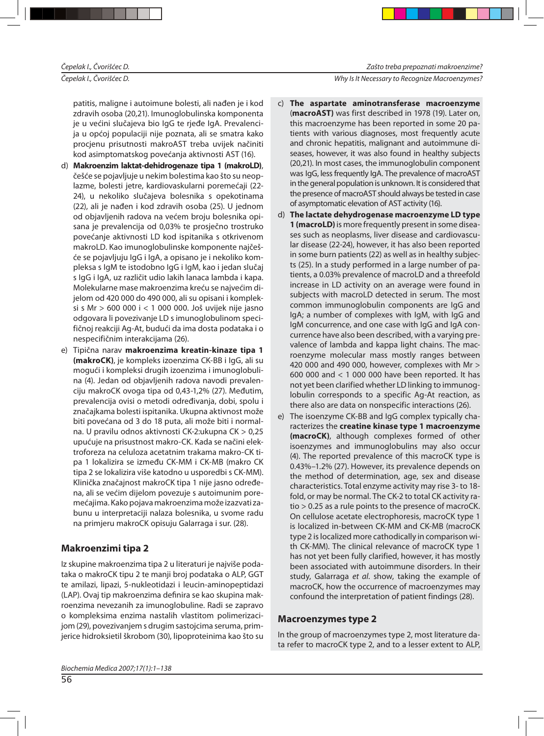Čepelak I., Čvorišćec D. Nestandard i Secondary in the comparison of the Why Is It Necessary to Recognize Macroenzymes?

patitis, maligne i autoimune bolesti, ali nađen je i kod zdravih osoba (20,21). Imunoglobulinska komponenta je u većini slučajeva bio IgG te rjeđe IgA. Prevalencija u općoj populaciji nije poznata, ali se smatra kako procjenu prisutnosti makroAST treba uvijek načiniti kod asimptomatskog povećanja aktivnosti AST (16).

- d) Makroenzim laktat-dehidrogenaze tipa 1 (makroLD), češće se pojavljuje u nekim bolestima kao što su neoplazme, bolesti jetre, kardiovas kularni poremećaji (22-24), u nekoliko slučajeva bolesnika s opekotinama (22), ali je nađen i kod zdravih osoba (25). U jednom od objavljenih radova na većem broju bolesnika opisana je prevalencija od 0,03% te prosječno trostruko povećanje aktivnosti LD kod ispitanika s otkrivenom makroLD. Kao imunoglobulinske komponente najčešće se pojavljuju IgG i IgA, a opisano je i nekoliko kompleksa s IgM te istodobno IgG i IgM, kao i jedan slučaj s IgG i IgA, uz različit udio lakih lanaca lambda i kapa. Molekularne mase makroenzima kreću se najvećim dijelom od 420 000 do 490 000, ali su opisani i kompleksi s Mr > 600 000 i < 1 000 000. Još uvijek nije jasno od govara li povezivanje LD s imu noglobulinom specifičnoj reakciji Ag-At, budući da ima dosta podataka i o nes pecifičnim interakcijama (26).
- e) Tipična narav makroenzima kreatin-kinaze tipa 1 (makroCK), je kompleks izoenzima CK-BB i IgG, ali su mogući i kompleksi drugih izoenzima i imunoglobulina (4). Jedan od objavljenih radova navodi prevalenciju makro CK ovoga tipa od 0,43-1,2% (27). Međutim, prevalencija ovisi o metodi određivanja, dobi, spolu i značaj kama bolesti is pitanika. Ukup na aktivnost može biti povećana od 3 do 18 puta, ali može biti i normalna. U pravilu odnos aktivnosti CK-2:u kupna CK > 0,25 upućuje na prisustnost makro-CK. Kada se načini elektroforeza na celuloza acetatnim trakama makro-CK tipa 1 lokalizira se između CK-MM i CK-MB (makro CK tipa 2 se lokalizira više katodno u usporedbi s CK-MM). Klinička značajnost makroCK tipa 1 nije jasno određena, ali se većim dijelom povezuje s autoimunim poremećajima. Kako pojava makroenzima može izazvati zabunu u interpretaciji nalaza bolesnika, u svome radu na primjeru makro CK opisuju Galarraga i sur. (28).

# **Mak roen zi mi ti pa 2**

Iz skupine makroenzima tipa 2 u literaturi je najviše podataka o makro CK tipu 2 te manji broj podataka o ALP, GGT te amilazi, lipazi, 5-nukleotidazi i leucin-aminopeptidazi (LAP). Ovaj tip makroenzima definira se kao skupina makroenzima nevezanih za imunoglobuline. Radi se zapravo o kompleksima enzima nastalih vlastitom polimerizacijom (29), povezivanjem s drugim sastojcima seruma, primjerice hidroksietil škrobom (30), lipoproteinima kao što su

- c) **The aspartate aminotransferase macroenzyme** (macroAST) was first described in 1978 (19). Later on, this macroenzyme has been reported in some 20 patients with various diagnoses, most frequently acute and chronic hepatitis, malignant and autoimmune diseases, however, it was also found in healthy subjects (20,21). In most cases, the immunoglobulin component was IgG, less frequently IgA. The prevalence of macroAST in the general population is unknown. It is considered that the presence of macroAST should always be tested in case of asymptomatic elevation of AST activity (16).
- d) **The lactate dehydrogenase mac roen zyme LD type 1 (macroLD)** is more frequently present in some diseases such as neoplasms, liver disease and cardiovascular disease (22-24), however, it has also been reported in some burn patients (22) as well as in healthy subjects (25). In a study performed in a large number of patients, a 0.03% prevalence of macroLD and a threefold increase in LD activity on an average were found in subjects with macroLD detected in serum. The most common immunoglobulin components are IgG and IgA; a number of complexes with IgM, with IgG and IgM concurrence, and one case with IgG and IgA concurrence have also been described, with a varying prevalence of lambda and kappa light chains. The macroenzyme molecular mass mostly ranges between 420 000 and 490 000, however, complexes with Mr  $>$ 600 000 and  $<$  1 000 000 have been reported. It has not yet been clarified whether LD linking to immunoglobulin corresponds to a specific Ag-At reaction, as there also are data on nonspecific interactions (26).
- e) The isoenzyme CK-BB and IgG complex typically characterizes the **creatine kinase type 1 macroenzyme** (**macroCK**), although complexes formed of other isoenzymes and immunoglobulins may also occur (4). The reported prevalence of this macroCK type is 0.43%–1.2% (27). However, its prevalence depends on the method of determination, age, sex and disease characteristics. Total enzyme activity may rise 3- to 18fold, or may be normal. The CK-2 to total CK activity ra $tio > 0.25$  as a rule points to the presence of macroCK. On cellulose acetate electrophoresis, macroCK type 1 is localized in-between CK-MM and CK-MB (macroCK type 2 is localized more cathodically in comparison with CK-MM). The clinical relevance of macroCK type 1 has not yet been fully clarified, however, it has mostly been associated with autoimmune disorders. In their study, Galarraga et al. show, taking the example of macroCK, how the occurrence of macroenzymes may confound the interpretation of patient findings (28).

# **Mac roen zymes type 2**

In the group of macroenzymes type 2, most literature data refer to macroCK type 2, and to a lesser extent to ALP,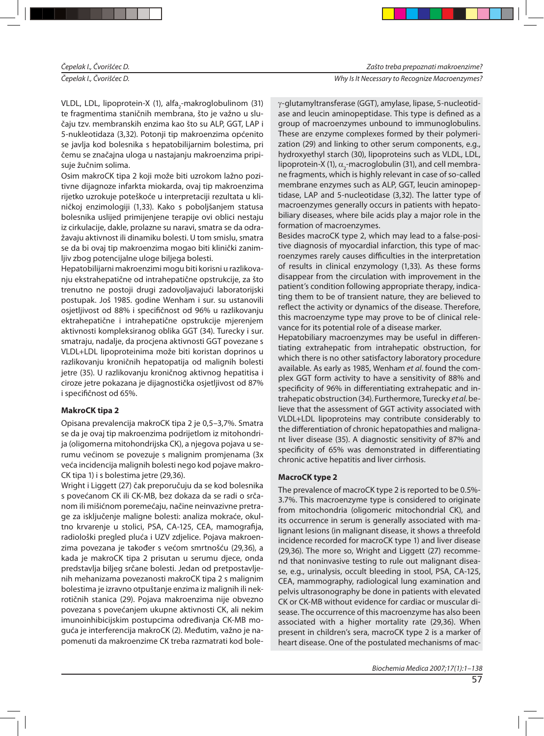#### Čepelak I., Čvorišćec D. Nestandard i Secondary of Demokratic Demokratic Mac roen zymes?

VLDL, LDL, lipoprotein-X (1), alfa<sub>2</sub>-makroglobulinom (31) te fragmentima staničnih membrana, što je važno u slučaju tzv. membranskih enzima kao što su ALP, GGT, LAP i 5-nukleotidaza (3,32). Potonji tip makroenzima općenito se javlja kod bolesnika s hepatobilijarnim bolestima, pri čemu se značajna uloga u nastajanju makroenzima pripisuje žučnim solima.

Osim makroCK tipa 2 koji može biti uzrokom lažno pozitivne dijagnoze infarkta miokarda, ovaj tip makroenzima rijetko uzrokuje poteškoće u interpretaciji rezultata u kliničkoj enzimologiji (1,33). Kako s poboljšanjem statusa bolesnika uslijed primijenjene terapije ovi oblici nestaju iz cirkulacije, dakle, prolazne su naravi, smatra se da odražavaju aktivnost ili dinamiku bolesti. U tom smislu, smatra se da bi ovaj tip makroenzima mogao biti klinički zanimljiv zbog potencijalne uloge biljega bolesti.

Hepatobilijarni makroenzimi mogu biti korisni u razlikovanju ekstrahepatične od intrahepatične opstrukcije, za što trenutno ne postoji drugi zadovoljavajući laboratorijski postupak. Još 1985. godine Wenham i sur. su ustanovili osjetljivost od 88% i specifičnost od 96% u razlikovanju ektrahepatične i intrahepatične opstrukcije mjerenjem aktivnosti kompleksiranog oblika GGT (34). Turecky i sur. smatraju, nadalje, da procjena aktivnosti GGT povezane s VLDL+LDL lipoproteinima može biti koristan doprinos u razlikovanju kroničnih hepatopatija od malignih bolesti jetre (35). U razlikovanju kroničnog aktivnog hepatitisa i ciroze jetre pokazana je dijagnostička osjetljivost od 87% i specifičnost od 65%.

# **MakroCK tipa 2**

Opisana prevalencija makro CK tipa 2 je 0,5–3,7%. Smatra se da je ovaj tip makroenzima podrijetlom iz mitohondrija (oligomerna mitohondrijska CK), a njegova pojava u serumu većinom se povezuje s malignim promjenama (3x veća incidencija malignih bolesti nego kod pojave makro-CK tipa 1) i s bolestima jetre (29,36).

Wright i Liggett (27) čak preporučuju da se kod bolesnika s povećanom CK ili CK-MB, bez dokaza da se radi o srčanom ili mišićnom poremećaju, načine neinvazivne pretrage za isključenje maligne bolesti: analiza mokraće, okultno krvarenje u stolici, PSA, CA-125, CEA, mamografija, radiološki pregled pluća i UZV zdjelice. Pojava makroenzima povezana je također s većom smrtnošću (29,36), a kada je makro CK tipa 2 prisutan u serumu djece, onda pred stavlja biljeg srčane bolesti. Jedan od pretpostavljenih mehanizama povezanosti makro CK tipa 2 s malignim bolestima je izravno otpuštanje enzima iz malignih ili nekrotičnih stanica (29). Pojava makroenzima nije obvezno povezana s povećanjem ukupne aktivnosti CK, ali nekim imunoin hibi cijskim postupcima od ređivanja CK-MB moguća je interferencija makroCK (2). Međutim, važno je napomenuti da makroenzime CK treba razmatrati kod bole $γ$ -glutamyltransferase (GGT), amylase, lipase, 5-nucleotidase and leucin aminopeptidase. This type is defined as a group of macroenzymes unbound to immunoglobulins. These are enzyme complexes formed by their polymerization (29) and linking to other serum components, e.g., hydroxyethyl starch (30), lipoproteins such as VLDL, LDL, lipoprotein-X (1),  $\alpha$ <sub>2</sub>-macroglobulin (31), and cell membrane fragments, which is highly relevant in case of so-called membrane enzymes such as ALP, GGT, leucin aminopeptidase, LAP and 5-nucleotidase (3,32). The latter type of macroenzymes generally occurs in patients with hepatobiliary diseases, where bile acids play a major role in the formation of macroenzymes.

Besides macroCK type 2, which may lead to a false-positive diagnosis of myocardial infarction, this type of macroenzymes rarely causes difficulties in the interpretation of results in clinical enzymology (1,33). As these forms disappear from the circulation with improvement in the patient's condition following appropriate therapy, indicating them to be of transient nature, they are believed to reflect the activity or dynamics of the disease. Therefore, this macroenzyme type may prove to be of clinical relevance for its potential role of a disease marker.

Hepatobiliary macroenzymes may be useful in differentiating extrahepatic from intrahepatic obstruction, for which there is no other satisfactory laboratory procedure available. As early as 1985, Wenham et al. found the complex GGT form activity to have a sensitivity of 88% and specificity of 96% in differentiating extrahepatic and intra he patic ob struction (34). Furthermore, Turecky et al. believe that the assessment of GGT activity associated with VLDL+LDL lipoproteins may contribute considerably to the differentiation of chronic hepatopathies and malignant liver disease (35). A diagnostic sensitivity of 87% and specificity of 65% was demonstrated in differentiating chronic active hepatitis and liver cirrhosis.

# **MacroCK type 2**

The prevalence of macroCK type 2 is reported to be 0.5%-3.7%. This macroenzyme type is considered to originate from mitochondria (oligomeric mitochondrial CK), and its occurrence in serum is generally associated with malignant lesions (in malignant disease, it shows a threefold incidence recorded for macroCK type 1) and liver disease (29,36). The more so, Wright and Liggett (27) recommend that noninvasive testing to rule out malignant disease, e.g., urinalysis, occult bleeding in stool, PSA, CA-125, CEA, mammography, radiological lung examination and pelvis ultrasonography be done in patients with elevated CK or CK-MB without evidence for cardiac or muscular disease. The occurrence of this macroenzyme has also been associated with a higher mortality rate (29,36). When present in children's sera, macro CK type 2 is a marker of heart disease. One of the postulated mechanisms of mac-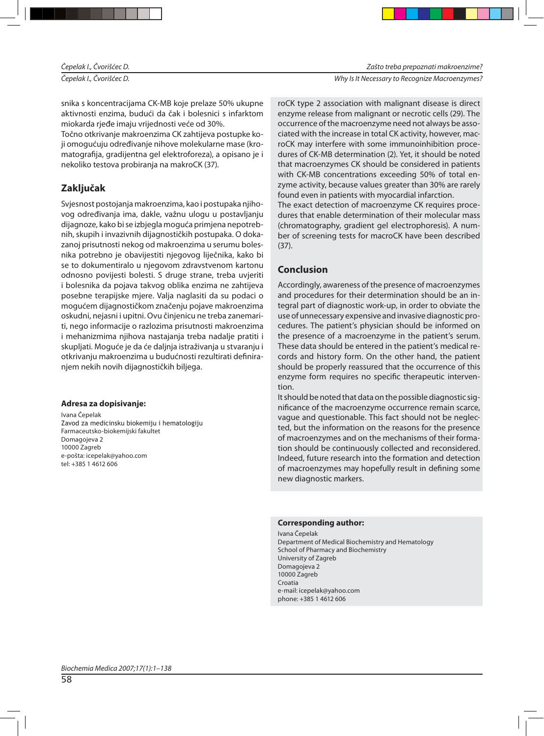Čepelak I., Čvorišćec D. Nestandard i Secondary in the comparison of the Why Is It Necessary to Recognize Macroenzymes?

snika s koncentracijama CK-MB koje prelaze 50% ukupne aktivnosti enzima, budući da čak i bolesnici s infarktom mio karda rjeđe imaju vrijednosti veće od 30%.

Točno otkrivanje makroenzima CK zahtijeva postupke koji omogućuju određivanje nihove molekularne mase (kromatografija, gradijentna gel elektroforeza), a opisano je i nekoliko testova probiranja na makro CK (37).

# **Zak lju čak**

Svjesnost postojanja makroenzima, kao i postupaka njihovog određivanja ima, dakle, važnu ulogu u postavljanju dijagnoze, kako bi se izbjegla moguća primjena nepotrebnih, skupih i invazivnih dijagnostičkih postupaka. O dokazanoj prisutnosti nekog od makroenzima u serumu bolesnika potrebno je obavijestiti njegovog liječnika, kako bi se to dokumentiralo u njegovom zdravstvenom kartonu od nos no povijesti bolesti. S druge strane, treba uvjeriti i bolesnika da pojava takvog oblika enzima ne zahtijeva posebne terapijske mjere. Valja naglasiti da su podaci o mogućem dijagnostičkom značenju pojave makroenzima oskudni, nejasni i upitni. Ovu činjenicu ne treba zanemariti, nego informacije o razlozima prisutnosti makroenzima i mehanizmima njihova nastajanja treba nadalje pratiti i skupljati. Moguće je da će daljnja istraživanja u stvaranju i otkrivanju makroenzima u budućnosti rezultirati definiranjem nekih novih dijagnostičkih biljega.

# **Ad re sa za do pi si va nje:**

Ivana Čenelak Zavod za medicinsku biokemiju i hematologiju Farmaceutsko-biokemijski fakultet Domagojeva 2 10000 Zagreb e-pošta: ice pe lak@yahoo.com tel: +385 1 4612 606

ro CK type 2 association with malignant disease is direct enzyme release from malignant or necrotic cells (29). The occurrence of the macroenzyme need not always be associated with the increase in total CK activity, however, macro CK may interfere with some immunoinhibition procedures of CK-MB determination (2). Yet, it should be noted that macroenzymes CK should be considered in patients with CK-MB concentrations exceeding 50% of total enzyme activity, because values greater than 30% are rarely found even in patients with myocardial infarction.

The exact detection of macroenzyme CK requires procedures that enable determination of their molecular mass (chromatography, gradient gel electrophoresis). A number of screening tests for macroCK have been described (37).

# **Con clu sion**

Accordingly, awareness of the presence of macroenzymes and procedures for their determination should be an integral part of diagnostic work-up, in order to obviate the use of unnecessary expensive and invasive diagnostic procedures. The patient's physician should be informed on the presence of a macroenzyme in the patient's serum. These data should be entered in the patient's medical records and history form. On the other hand, the patient should be properly reassured that the occurrence of this enzyme form requires no specific therapeutic intervention.

It should be noted that data on the possible diagnostic significance of the macroenzyme occurrence remain scarce, vaque and questionable. This fact should not be neglected, but the information on the reasons for the presence of macroenzymes and on the mechanisms of their formation should be continuously collected and reconsidered. Indeed, future research into the formation and detection of macroenzymes may hopefully result in defining some new diagnostic markers.

#### **Corresponding author:**

Ivana Čepelak Department of Medical Biochemistry and Hematology School of Pharmacy and Biochemistry University of Zagreb Domagojeva 2 10000 Zagreb Croatia e-mail: icepelak@yahoo.com phone: +385 1 4612 606